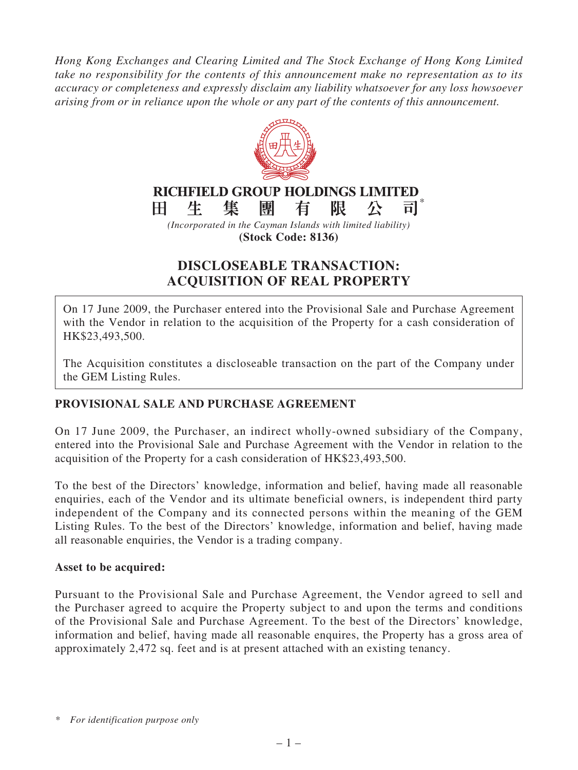*Hong Kong Exchanges and Clearing Limited and The Stock Exchange of Hong Kong Limited take no responsibility for the contents of this announcement make no representation as to its accuracy or completeness and expressly disclaim any liability whatsoever for any loss howsoever arising from or in reliance upon the whole or any part of the contents of this announcement.*



# **DISCLOSEABLE TRANSACTION: ACQUISITION OF REAL PROPERTY**

On 17 June 2009, the Purchaser entered into the Provisional Sale and Purchase Agreement with the Vendor in relation to the acquisition of the Property for a cash consideration of HK\$23,493,500.

The Acquisition constitutes a discloseable transaction on the part of the Company under the GEM Listing Rules.

# **PROVISIONAL SALE AND PURCHASE AGREEMENT**

On 17 June 2009, the Purchaser, an indirect wholly-owned subsidiary of the Company, entered into the Provisional Sale and Purchase Agreement with the Vendor in relation to the acquisition of the Property for a cash consideration of HK\$23,493,500.

To the best of the Directors' knowledge, information and belief, having made all reasonable enquiries, each of the Vendor and its ultimate beneficial owners, is independent third party independent of the Company and its connected persons within the meaning of the GEM Listing Rules. To the best of the Directors' knowledge, information and belief, having made all reasonable enquiries, the Vendor is a trading company.

#### **Asset to be acquired:**

Pursuant to the Provisional Sale and Purchase Agreement, the Vendor agreed to sell and the Purchaser agreed to acquire the Property subject to and upon the terms and conditions of the Provisional Sale and Purchase Agreement. To the best of the Directors' knowledge, information and belief, having made all reasonable enquires, the Property has a gross area of approximately 2,472 sq. feet and is at present attached with an existing tenancy.

*<sup>\*</sup> For identification purpose only*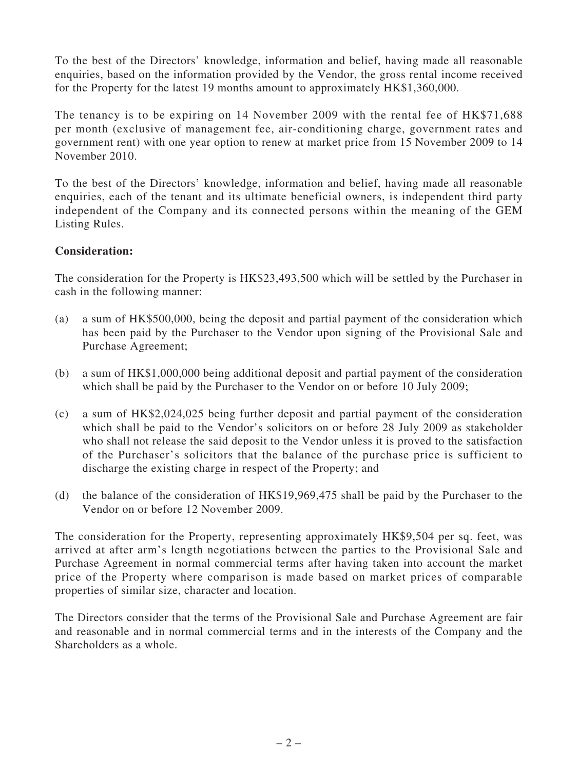To the best of the Directors' knowledge, information and belief, having made all reasonable enquiries, based on the information provided by the Vendor, the gross rental income received for the Property for the latest 19 months amount to approximately HK\$1,360,000.

The tenancy is to be expiring on 14 November 2009 with the rental fee of HK\$71,688 per month (exclusive of management fee, air-conditioning charge, government rates and government rent) with one year option to renew at market price from 15 November 2009 to 14 November 2010.

To the best of the Directors' knowledge, information and belief, having made all reasonable enquiries, each of the tenant and its ultimate beneficial owners, is independent third party independent of the Company and its connected persons within the meaning of the GEM Listing Rules.

#### **Consideration:**

The consideration for the Property is HK\$23,493,500 which will be settled by the Purchaser in cash in the following manner:

- (a) a sum of HK\$500,000, being the deposit and partial payment of the consideration which has been paid by the Purchaser to the Vendor upon signing of the Provisional Sale and Purchase Agreement;
- (b) a sum of HK\$1,000,000 being additional deposit and partial payment of the consideration which shall be paid by the Purchaser to the Vendor on or before 10 July 2009;
- (c) a sum of HK\$2,024,025 being further deposit and partial payment of the consideration which shall be paid to the Vendor's solicitors on or before 28 July 2009 as stakeholder who shall not release the said deposit to the Vendor unless it is proved to the satisfaction of the Purchaser's solicitors that the balance of the purchase price is sufficient to discharge the existing charge in respect of the Property; and
- (d) the balance of the consideration of HK\$19,969,475 shall be paid by the Purchaser to the Vendor on or before 12 November 2009.

The consideration for the Property, representing approximately HK\$9,504 per sq. feet, was arrived at after arm's length negotiations between the parties to the Provisional Sale and Purchase Agreement in normal commercial terms after having taken into account the market price of the Property where comparison is made based on market prices of comparable properties of similar size, character and location.

The Directors consider that the terms of the Provisional Sale and Purchase Agreement are fair and reasonable and in normal commercial terms and in the interests of the Company and the Shareholders as a whole.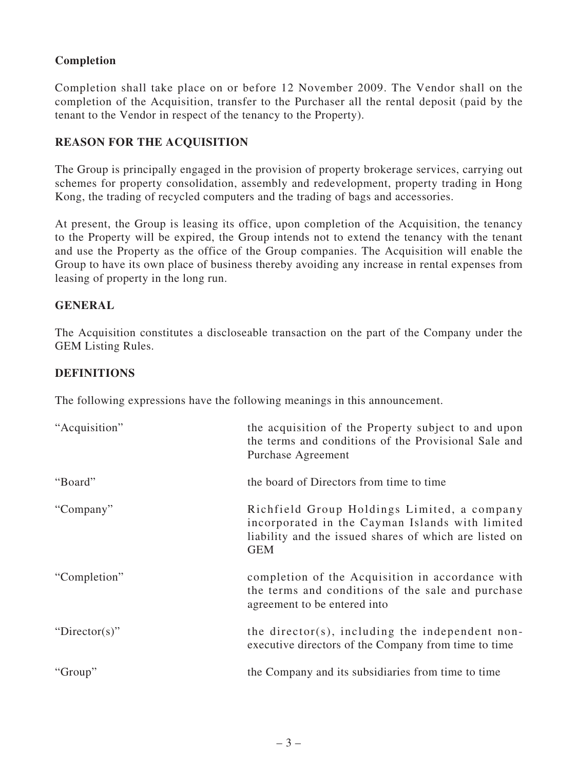## **Completion**

Completion shall take place on or before 12 November 2009. The Vendor shall on the completion of the Acquisition, transfer to the Purchaser all the rental deposit (paid by the tenant to the Vendor in respect of the tenancy to the Property).

## **REASON FOR THE ACQUISITION**

The Group is principally engaged in the provision of property brokerage services, carrying out schemes for property consolidation, assembly and redevelopment, property trading in Hong Kong, the trading of recycled computers and the trading of bags and accessories.

At present, the Group is leasing its office, upon completion of the Acquisition, the tenancy to the Property will be expired, the Group intends not to extend the tenancy with the tenant and use the Property as the office of the Group companies. The Acquisition will enable the Group to have its own place of business thereby avoiding any increase in rental expenses from leasing of property in the long run.

#### **GENERAL**

The Acquisition constitutes a discloseable transaction on the part of the Company under the GEM Listing Rules.

### **DEFINITIONS**

The following expressions have the following meanings in this announcement.

| "Acquisition" | the acquisition of the Property subject to and upon<br>the terms and conditions of the Provisional Sale and<br>Purchase Agreement                                      |
|---------------|------------------------------------------------------------------------------------------------------------------------------------------------------------------------|
| "Board"       | the board of Directors from time to time                                                                                                                               |
| "Company"     | Richfield Group Holdings Limited, a company<br>incorporated in the Cayman Islands with limited<br>liability and the issued shares of which are listed on<br><b>GEM</b> |
| "Completion"  | completion of the Acquisition in accordance with<br>the terms and conditions of the sale and purchase<br>agreement to be entered into                                  |
| "Director(s)" | the director(s), including the independent non-<br>executive directors of the Company from time to time                                                                |
| "Group"       | the Company and its subsidiaries from time to time                                                                                                                     |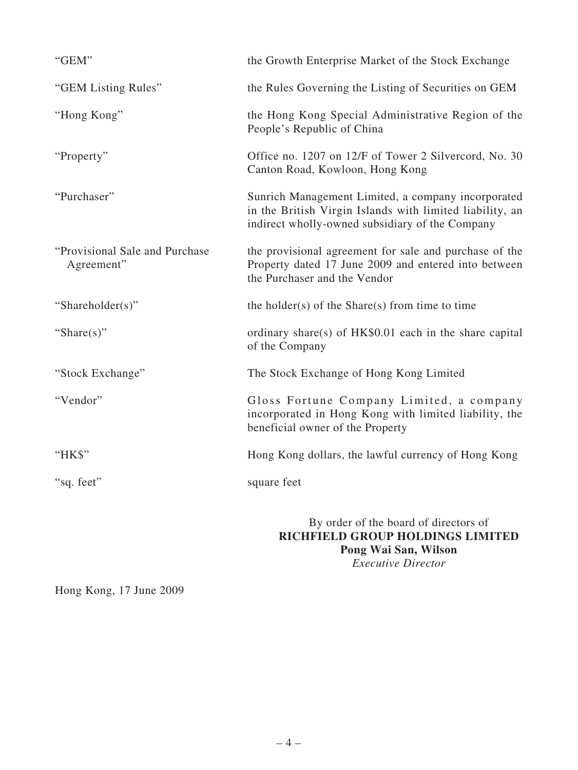| "GEM"                                         | the Growth Enterprise Market of the Stock Exchange                                                                                                                |
|-----------------------------------------------|-------------------------------------------------------------------------------------------------------------------------------------------------------------------|
| "GEM Listing Rules"                           | the Rules Governing the Listing of Securities on GEM                                                                                                              |
| "Hong Kong"                                   | the Hong Kong Special Administrative Region of the<br>People's Republic of China                                                                                  |
| "Property"                                    | Office no. 1207 on 12/F of Tower 2 Silvercord, No. 30<br>Canton Road, Kowloon, Hong Kong                                                                          |
| "Purchaser"                                   | Sunrich Management Limited, a company incorporated<br>in the British Virgin Islands with limited liability, an<br>indirect wholly-owned subsidiary of the Company |
| "Provisional Sale and Purchase"<br>Agreement" | the provisional agreement for sale and purchase of the<br>Property dated 17 June 2009 and entered into between<br>the Purchaser and the Vendor                    |
| "Shareholder(s)"                              | the holder(s) of the Share(s) from time to time                                                                                                                   |
| "Share $(s)$ "                                | ordinary share(s) of HK\$0.01 each in the share capital<br>of the Company                                                                                         |
| "Stock Exchange"                              | The Stock Exchange of Hong Kong Limited                                                                                                                           |
| "Vendor"                                      | Gloss Fortune Company Limited, a company<br>incorporated in Hong Kong with limited liability, the<br>beneficial owner of the Property                             |
| "HK\$"                                        | Hong Kong dollars, the lawful currency of Hong Kong                                                                                                               |
| "sq. feet"                                    | square feet                                                                                                                                                       |
|                                               | By order of the board of directors of<br>RICHFIELD GROUP HOLDINGS LIMITED<br>Pong Wai San, Wilson                                                                 |

*Executive Director*

Hong Kong, 17 June 2009